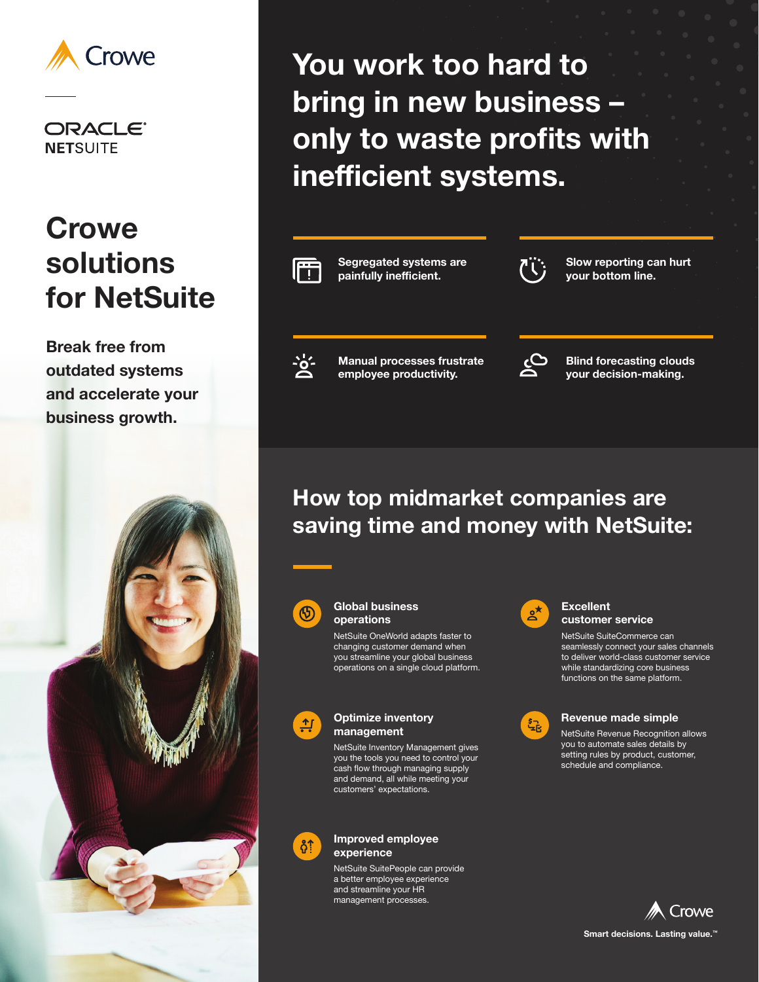

**ORACLE® NETSUITE** 

# **Crowe solutions for NetSuite**

**Break free from outdated systems and accelerate your business growth.** 



**You work too hard to bring in new business – only to waste profits with inefficient systems.**



### **How top midmarket companies are saving time and money with NetSuite:**



#### **Global business operations**

NetSuite OneWorld adapts faster to changing customer demand when you streamline your global business operations on a single cloud platform.



#### **Optimize inventory management**

NetSuite Inventory Management gives you the tools you need to control your cash flow through managing supply and demand, all while meeting your customers' expectations.



#### **Improved employee experience**

NetSuite SuitePeople can provide a better employee experience and streamline your HR management processes.



#### **Excellent customer service**

NetSuite SuiteCommerce can seamlessly connect your sales channels to deliver world-class customer service while standardizing core business functions on the same platform.



#### **Revenue made simple**

NetSuite Revenue Recognition allows you to automate sales details by setting rules by product, customer, schedule and compliance.